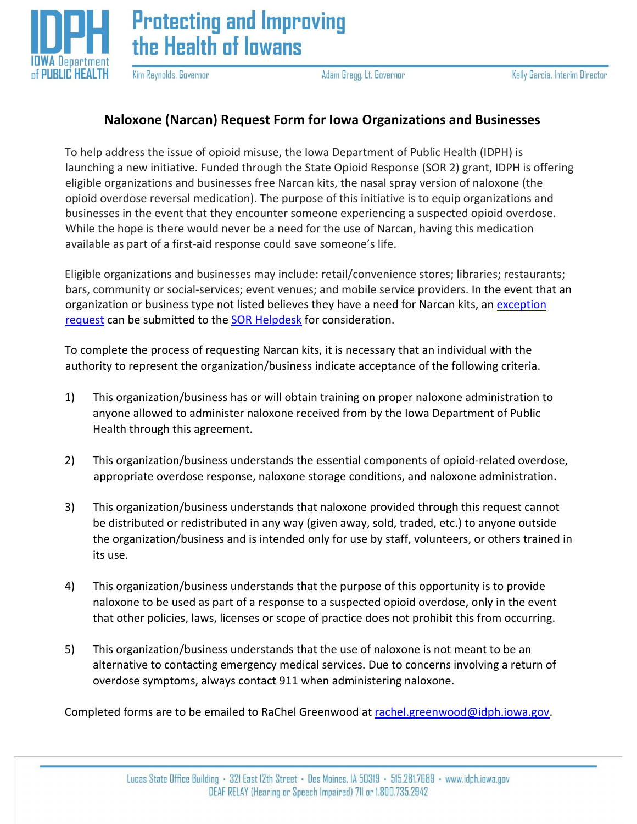

Kim Reynolds, Governor

Adam Gregg, Lt. Governor

## **Naloxone (Narcan) Request Form for Iowa Organizations and Businesses**

To help address the issue of opioid misuse, the Iowa Department of Public Health (IDPH) is launching a new initiative. Funded through the State Opioid Response (SOR 2) grant, IDPH is offering eligible organizations and businesses free Narcan kits, the nasal spray version of naloxone (the opioid overdose reversal medication). The purpose of this initiative is to equip organizations and businesses in the event that they encounter someone experiencing a suspected opioid overdose. While the hope is there would never be a need for the use of Narcan, having this medication available as part of a first-aid response could save someone's life.

Eligible organizations and businesses may include: retail/convenience stores; libraries; restaurants; bars, community or social-services; event venues; and mobile service providers. In the event that an organization or business type not listed believes they have a need for Narcan kits, an [exception](https://idph.iowa.gov/Portals/1/userfiles/278/SOR2/SOR2%20Exception%20Request.pdf)  [request](https://idph.iowa.gov/Portals/1/userfiles/278/SOR2/SOR2%20Exception%20Request.pdf) can be submitted to the [SOR Helpdesk](mailto:sor@idph.iowa.gov) for consideration.

To complete the process of requesting Narcan kits, it is necessary that an individual with the authority to represent the organization/business indicate acceptance of the following criteria.

- 1) This organization/business has or will obtain training on proper naloxone administration to anyone allowed to administer naloxone received from by the Iowa Department of Public Health through this agreement.
- 2) This organization/business understands the essential components of opioid-related overdose, appropriate overdose response, naloxone storage conditions, and naloxone administration.
- 3) This organization/business understands that naloxone provided through this request cannot be distributed or redistributed in any way (given away, sold, traded, etc.) to anyone outside the organization/business and is intended only for use by staff, volunteers, or others trained in its use.
- 4) This organization/business understands that the purpose of this opportunity is to provide naloxone to be used as part of a response to a suspected opioid overdose, only in the event that other policies, laws, licenses or scope of practice does not prohibit this from occurring.
- 5) This organization/business understands that the use of naloxone is not meant to be an alternative to contacting emergency medical services. Due to concerns involving a return of overdose symptoms, always contact 911 when administering naloxone.

Completed forms are to be emailed to RaChel Greenwood at rachel.greenwood@idph.iowa.gov.